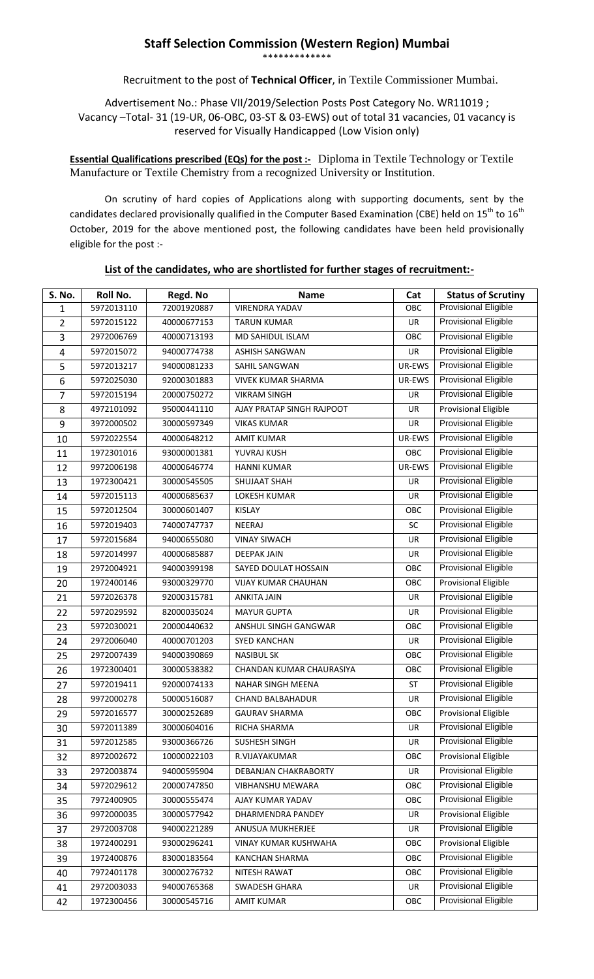## **Staff Selection Commission (Western Region) Mumbai** \*\*\*\*\*\*\*\*\*\*\*\*\*

Recruitment to the post of **Technical Officer**, in Textile Commissioner Mumbai.

Advertisement No.: Phase VII/2019/Selection Posts Post Category No. WR11019 ; Vacancy –Total- 31 (19-UR, 06-OBC, 03-ST & 03-EWS) out of total 31 vacancies, 01 vacancy is reserved for Visually Handicapped (Low Vision only)

**Essential Qualifications prescribed (EQs) for the post :-** Diploma in Textile Technology or Textile Manufacture or Textile Chemistry from a recognized University or Institution.

On scrutiny of hard copies of Applications along with supporting documents, sent by the candidates declared provisionally qualified in the Computer Based Examination (CBE) held on 15<sup>th</sup> to 16<sup>th</sup> October, 2019 for the above mentioned post, the following candidates have been held provisionally eligible for the post :-

| <b>S. No.</b>  | <b>Roll No.</b> | Regd. No    | Name                       | Cat       | <b>Status of Scrutiny</b>   |
|----------------|-----------------|-------------|----------------------------|-----------|-----------------------------|
| $\mathbf{1}$   | 5972013110      | 72001920887 | <b>VIRENDRA YADAV</b>      | OBC       | <b>Provisional Eligible</b> |
| $\overline{2}$ | 5972015122      | 40000677153 | <b>TARUN KUMAR</b>         | <b>UR</b> | Provisional Eligible        |
| 3              | 2972006769      | 40000713193 | <b>MD SAHIDUL ISLAM</b>    | OBC       | Provisional Eligible        |
| 4              | 5972015072      | 94000774738 | <b>ASHISH SANGWAN</b>      | UR        | <b>Provisional Eligible</b> |
| 5              | 5972013217      | 94000081233 | SAHIL SANGWAN              | UR-EWS    | Provisional Eligible        |
| 6              | 5972025030      | 92000301883 | <b>VIVEK KUMAR SHARMA</b>  | UR-EWS    | <b>Provisional Eligible</b> |
| 7              | 5972015194      | 20000750272 | <b>VIKRAM SINGH</b>        | <b>UR</b> | Provisional Eligible        |
| 8              | 4972101092      | 95000441110 | AJAY PRATAP SINGH RAJPOOT  | <b>UR</b> | <b>Provisional Eligible</b> |
| 9              | 3972000502      | 30000597349 | <b>VIKAS KUMAR</b>         | UR        | <b>Provisional Eligible</b> |
| 10             | 5972022554      | 40000648212 | <b>AMIT KUMAR</b>          | UR-EWS    | Provisional Eligible        |
| 11             | 1972301016      | 93000001381 | YUVRAJ KUSH                | OBC       | Provisional Eligible        |
| 12             | 9972006198      | 40000646774 | <b>HANNI KUMAR</b>         | UR-EWS    | Provisional Eligible        |
| 13             | 1972300421      | 30000545505 | SHUJAAT SHAH               | <b>UR</b> | Provisional Eligible        |
| 14             | 5972015113      | 40000685637 | <b>LOKESH KUMAR</b>        | UR        | <b>Provisional Eligible</b> |
| 15             | 5972012504      | 30000601407 | KISLAY                     | OBC       | <b>Provisional Eligible</b> |
| 16             | 5972019403      | 74000747737 | NEERAJ                     | SC        | <b>Provisional Eligible</b> |
| 17             | 5972015684      | 94000655080 | <b>VINAY SIWACH</b>        | UR        | Provisional Eligible        |
| 18             | 5972014997      | 40000685887 | <b>DEEPAK JAIN</b>         | UR        | <b>Provisional Eligible</b> |
| 19             | 2972004921      | 94000399198 | SAYED DOULAT HOSSAIN       | OBC       | Provisional Eligible        |
| 20             | 1972400146      | 93000329770 | <b>VIJAY KUMAR CHAUHAN</b> | OBC       | Provisional Eligible        |
| 21             | 5972026378      | 92000315781 | <b>ANKITA JAIN</b>         | <b>UR</b> | <b>Provisional Eligible</b> |
| 22             | 5972029592      | 82000035024 | <b>MAYUR GUPTA</b>         | UR        | Provisional Eligible        |
| 23             | 5972030021      | 20000440632 | ANSHUL SINGH GANGWAR       | OBC       | <b>Provisional Eligible</b> |
| 24             | 2972006040      | 40000701203 | <b>SYED KANCHAN</b>        | UR        | Provisional Eligible        |
| 25             | 2972007439      | 94000390869 | <b>NASIBUL SK</b>          | OBC       | <b>Provisional Eligible</b> |
| 26             | 1972300401      | 30000538382 | CHANDAN KUMAR CHAURASIYA   | OBC       | Provisional Eligible        |
| 27             | 5972019411      | 92000074133 | NAHAR SINGH MEENA          | ST        | <b>Provisional Eligible</b> |
| 28             | 9972000278      | 50000516087 | <b>CHAND BALBAHADUR</b>    | UR        | <b>Provisional Eligible</b> |
| 29             | 5972016577      | 30000252689 | <b>GAURAV SHARMA</b>       | OBC       | <b>Provisional Eligible</b> |
| 30             | 5972011389      | 30000604016 | RICHA SHARMA               | UR        | Provisional Eligible        |
| 31             | 5972012585      | 93000366726 | SUSHESH SINGH              | UR        | <b>Provisional Eligible</b> |
| 32             | 8972002672      | 10000022103 | R.VIJAYAKUMAR              | OBC       | <b>Provisional Eligible</b> |
| 33             | 2972003874      | 94000595904 | DEBANJAN CHAKRABORTY       | <b>UR</b> | <b>Provisional Eligible</b> |
| 34             | 5972029612      | 20000747850 | VIBHANSHU MEWARA           | OBC       | Provisional Eligible        |
| 35             | 7972400905      | 30000555474 | AJAY KUMAR YADAV           | OBC       | Provisional Eligible        |
| 36             | 9972000035      | 30000577942 | DHARMENDRA PANDEY          | UR        | <b>Provisional Eligible</b> |
| 37             | 2972003708      | 94000221289 | ANUSUA MUKHERJEE           | UR        | <b>Provisional Eligible</b> |
| 38             | 1972400291      | 93000296241 | VINAY KUMAR KUSHWAHA       | OBC       | <b>Provisional Eligible</b> |
| 39             | 1972400876      | 83000183564 | KANCHAN SHARMA             | OBC       | <b>Provisional Eligible</b> |
| 40             | 7972401178      | 30000276732 | NITESH RAWAT               | OBC       | Provisional Eligible        |
| 41             | 2972003033      | 94000765368 | SWADESH GHARA              | <b>UR</b> | Provisional Eligible        |
| 42             | 1972300456      | 30000545716 | <b>AMIT KUMAR</b>          | OBC       | Provisional Eligible        |

## **List of the candidates, who are shortlisted for further stages of recruitment:-**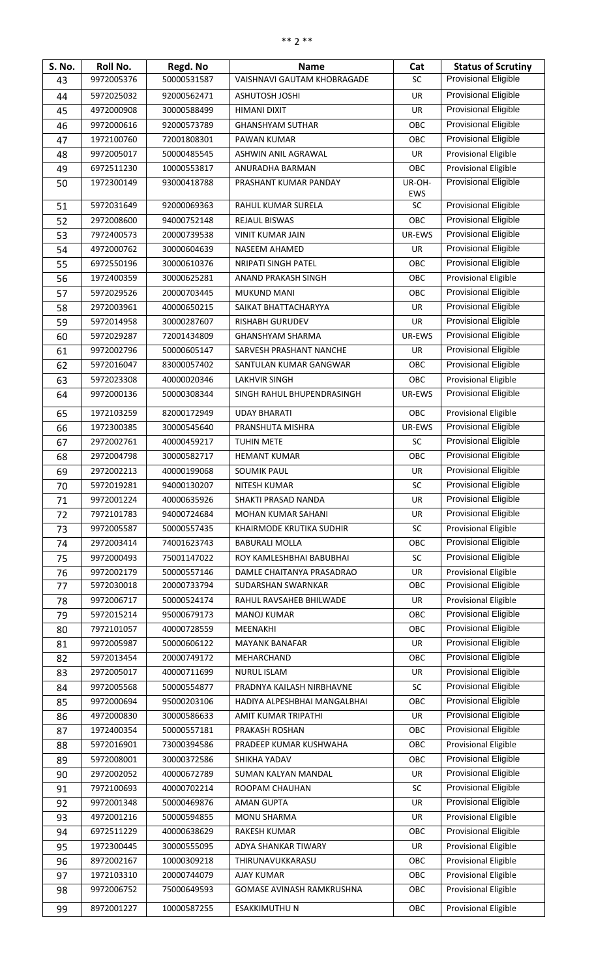| <b>S. No.</b> | Roll No.   | Regd. No    | <b>Name</b>                      | Cat       | <b>Status of Scrutiny</b>   |
|---------------|------------|-------------|----------------------------------|-----------|-----------------------------|
| 43            | 9972005376 | 50000531587 | VAISHNAVI GAUTAM KHOBRAGADE      | <b>SC</b> | Provisional Eligible        |
| 44            | 5972025032 | 92000562471 | <b>ASHUTOSH JOSHI</b>            | UR        | <b>Provisional Eligible</b> |
| 45            | 4972000908 | 30000588499 | HIMANI DIXIT                     | UR        | <b>Provisional Eligible</b> |
| 46            | 9972000616 | 92000573789 | <b>GHANSHYAM SUTHAR</b>          | OBC       | <b>Provisional Eligible</b> |
| 47            | 1972100760 | 72001808301 | PAWAN KUMAR                      | OBC       | Provisional Eligible        |
| 48            | 9972005017 | 50000485545 | ASHWIN ANIL AGRAWAL              | UR        | <b>Provisional Eligible</b> |
| 49            | 6972511230 | 10000553817 | ANURADHA BARMAN                  | OBC       | <b>Provisional Eligible</b> |
| 50            | 1972300149 | 93000418788 | PRASHANT KUMAR PANDAY            | UR-OH-    | <b>Provisional Eligible</b> |
|               |            |             |                                  | EWS       |                             |
| 51            | 5972031649 | 92000069363 | RAHUL KUMAR SURELA               | <b>SC</b> | <b>Provisional Eligible</b> |
| 52            | 2972008600 | 94000752148 | REJAUL BISWAS                    | OBC       | Provisional Eligible        |
| 53            | 7972400573 | 20000739538 | <b>VINIT KUMAR JAIN</b>          | UR-EWS    | <b>Provisional Eligible</b> |
| 54            | 4972000762 | 30000604639 | NASEEM AHAMED                    | UR        | <b>Provisional Eligible</b> |
| 55            | 6972550196 | 30000610376 | <b>NRIPATI SINGH PATEL</b>       | OBC       | <b>Provisional Eligible</b> |
| 56            | 1972400359 | 30000625281 | ANAND PRAKASH SINGH              | OBC       | Provisional Eligible        |
| 57            | 5972029526 | 20000703445 | <b>MUKUND MANI</b>               | OBC       | Provisional Eligible        |
| 58            | 2972003961 | 40000650215 | SAIKAT BHATTACHARYYA             | UR        | <b>Provisional Eligible</b> |
| 59            | 5972014958 | 30000287607 | <b>RISHABH GURUDEV</b>           | <b>UR</b> | <b>Provisional Eligible</b> |
| 60            | 5972029287 | 72001434809 | <b>GHANSHYAM SHARMA</b>          | UR-EWS    | <b>Provisional Eligible</b> |
| 61            | 9972002796 | 50000605147 | SARVESH PRASHANT NANCHE          | UR        | <b>Provisional Eligible</b> |
| 62            | 5972016047 | 83000057402 | SANTULAN KUMAR GANGWAR           | OBC       | Provisional Eligible        |
| 63            | 5972023308 | 40000020346 | <b>LAKHVIR SINGH</b>             | OBC       | <b>Provisional Eligible</b> |
| 64            | 9972000136 | 50000308344 | SINGH RAHUL BHUPENDRASINGH       | UR-EWS    | Provisional Eligible        |
| 65            | 1972103259 | 82000172949 | <b>UDAY BHARATI</b>              | OBC       | <b>Provisional Eligible</b> |
| 66            | 1972300385 | 30000545640 | PRANSHUTA MISHRA                 | UR-EWS    | <b>Provisional Eligible</b> |
| 67            | 2972002761 | 40000459217 | TUHIN METE                       | <b>SC</b> | <b>Provisional Eligible</b> |
| 68            | 2972004798 | 30000582717 | <b>HEMANT KUMAR</b>              | OBC       | <b>Provisional Eligible</b> |
| 69            | 2972002213 | 40000199068 | <b>SOUMIK PAUL</b>               | UR        | <b>Provisional Eligible</b> |
| 70            | 5972019281 | 94000130207 | NITESH KUMAR                     | SC        | <b>Provisional Eligible</b> |
| 71            | 9972001224 | 40000635926 | SHAKTI PRASAD NANDA              | UR        | <b>Provisional Eligible</b> |
| 72            | 7972101783 | 94000724684 | MOHAN KUMAR SAHANI               | UR        | <b>Provisional Eligible</b> |
| 73            | 9972005587 | 50000557435 | KHAIRMODE KRUTIKA SUDHIR         | <b>SC</b> | <b>Provisional Eligible</b> |
| 74            | 2972003414 | 74001623743 | <b>BABURALI MOLLA</b>            | OBC       | <b>Provisional Eligible</b> |
| 75            | 9972000493 | 75001147022 | ROY KAMLESHBHAI BABUBHAI         | SC        | Provisional Eligible        |
| 76            | 9972002179 | 50000557146 | DAMLE CHAITANYA PRASADRAO        | <b>UR</b> | <b>Provisional Eligible</b> |
| 77            | 5972030018 | 20000733794 | SUDARSHAN SWARNKAR               | OBC       | <b>Provisional Eligible</b> |
| 78            | 9972006717 | 50000524174 | RAHUL RAVSAHEB BHILWADE          | UR        | <b>Provisional Eligible</b> |
| 79            | 5972015214 | 95000679173 | <b>MANOJ KUMAR</b>               | OBC       | <b>Provisional Eligible</b> |
| 80            | 7972101057 | 40000728559 | MEENAKHI                         | OBC       | <b>Provisional Eligible</b> |
| 81            | 9972005987 | 50000606122 | <b>MAYANK BANAFAR</b>            | UR        | <b>Provisional Eligible</b> |
| 82            | 5972013454 | 20000749172 | MEHARCHAND                       | OBC       | <b>Provisional Eligible</b> |
| 83            | 2972005017 | 40000711699 | NURUL ISLAM                      | UR        | <b>Provisional Eligible</b> |
| 84            | 9972005568 | 50000554877 | PRADNYA KAILASH NIRBHAVNE        | <b>SC</b> | Provisional Eligible        |
| 85            | 9972000694 | 95000203106 | HADIYA ALPESHBHAI MANGALBHAI     | OBC       | <b>Provisional Eligible</b> |
| 86            | 4972000830 | 30000586633 | AMIT KUMAR TRIPATHI              | UR        | <b>Provisional Eligible</b> |
| 87            | 1972400354 | 50000557181 | PRAKASH ROSHAN                   | OBC       | <b>Provisional Eligible</b> |
| 88            | 5972016901 | 73000394586 | PRADEEP KUMAR KUSHWAHA           | OBC       | <b>Provisional Eligible</b> |
| 89            | 5972008001 | 30000372586 | SHIKHA YADAV                     | OBC       | Provisional Eligible        |
| 90            | 2972002052 | 40000672789 | SUMAN KALYAN MANDAL              | UR        | <b>Provisional Eligible</b> |
| 91            | 7972100693 | 40000702214 | ROOPAM CHAUHAN                   | SC        | <b>Provisional Eligible</b> |
| 92            | 9972001348 | 50000469876 | <b>AMAN GUPTA</b>                | UR        | <b>Provisional Eligible</b> |
| 93            | 4972001216 | 50000594855 | <b>MONU SHARMA</b>               | UR        | <b>Provisional Eligible</b> |
| 94            | 6972511229 | 40000638629 | RAKESH KUMAR                     | OBC       | <b>Provisional Eligible</b> |
| 95            | 1972300445 | 30000555095 | ADYA SHANKAR TIWARY              | UR        | <b>Provisional Eligible</b> |
| 96            | 8972002167 | 10000309218 | THIRUNAVUKKARASU                 | OBC       | <b>Provisional Eligible</b> |
| 97            | 1972103310 | 20000744079 | <b>AJAY KUMAR</b>                | OBC       | <b>Provisional Eligible</b> |
| 98            | 9972006752 | 75000649593 | <b>GOMASE AVINASH RAMKRUSHNA</b> | OBC       | <b>Provisional Eligible</b> |
| 99            | 8972001227 | 10000587255 | <b>ESAKKIMUTHU N</b>             | OBC       | <b>Provisional Eligible</b> |
|               |            |             |                                  |           |                             |